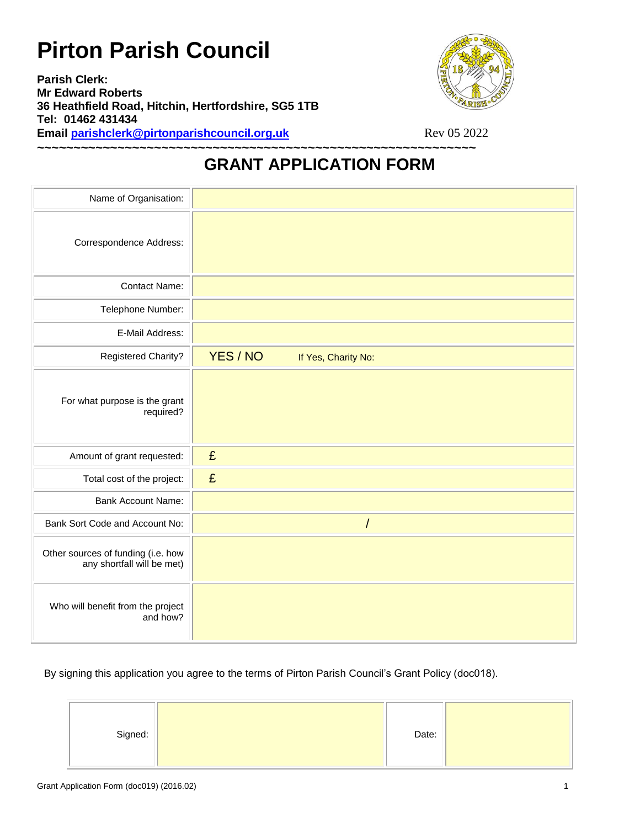## **Pirton Parish Council**

**Parish Clerk: Mr Edward Roberts 36 Heathfield Road, Hitchin, Hertfordshire, SG5 1TB Tel: 01462 431434 Email parishclerk@pirtonparishcouncil.org.uk** Rev 05 2022



## **GRANT APPLICATION FORM**

**~~~~~~~~~~~~~~~~~~~~~~~~~~~~~~~~~~~~~~~~~~~~~~~~~~~~~~~~~~~~**

| Name of Organisation:                                            |                                 |
|------------------------------------------------------------------|---------------------------------|
| Correspondence Address:                                          |                                 |
| <b>Contact Name:</b>                                             |                                 |
| Telephone Number:                                                |                                 |
| E-Mail Address:                                                  |                                 |
| <b>Registered Charity?</b>                                       | YES / NO<br>If Yes, Charity No: |
| For what purpose is the grant<br>required?                       |                                 |
| Amount of grant requested:                                       | £                               |
| Total cost of the project:                                       | £                               |
| <b>Bank Account Name:</b>                                        |                                 |
| Bank Sort Code and Account No:                                   | $\prime$                        |
| Other sources of funding (i.e. how<br>any shortfall will be met) |                                 |
| Who will benefit from the project<br>and how?                    |                                 |

By signing this application you agree to the terms of Pirton Parish Council's Grant Policy (doc018).

| Signed: |  | Date: |  |
|---------|--|-------|--|
|---------|--|-------|--|